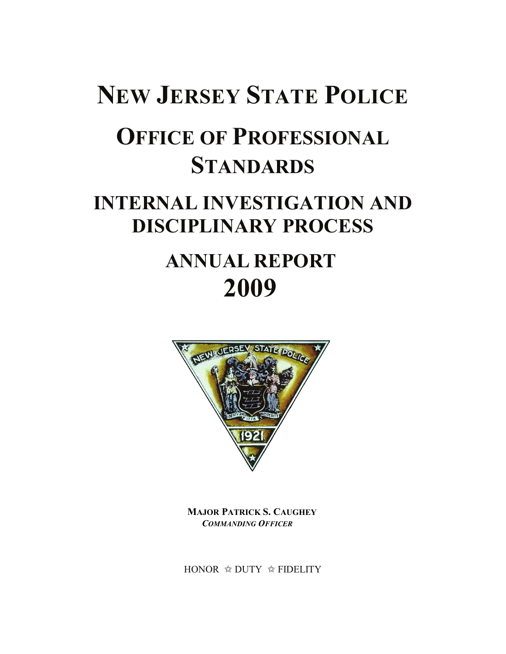# **NEW JERSEY STATE POLICE OFFICE OF PROFESSIONAL STANDARDS INTERNAL INVESTIGATION AND DISCIPLINARY PROCESS ANNUAL REPORT 2009**



**MAJOR PATRICK S. CAUGHEY**  *COMMANDING OFFICER* 

HONOR  $\triangle$  DUTY  $\triangle$  FIDELITY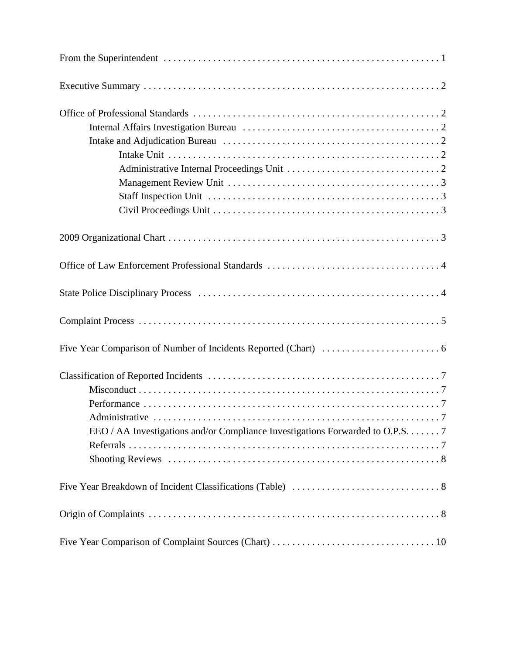| EEO / AA Investigations and/or Compliance Investigations Forwarded to O.P.S. 7 |
|--------------------------------------------------------------------------------|
|                                                                                |
|                                                                                |
|                                                                                |
|                                                                                |
|                                                                                |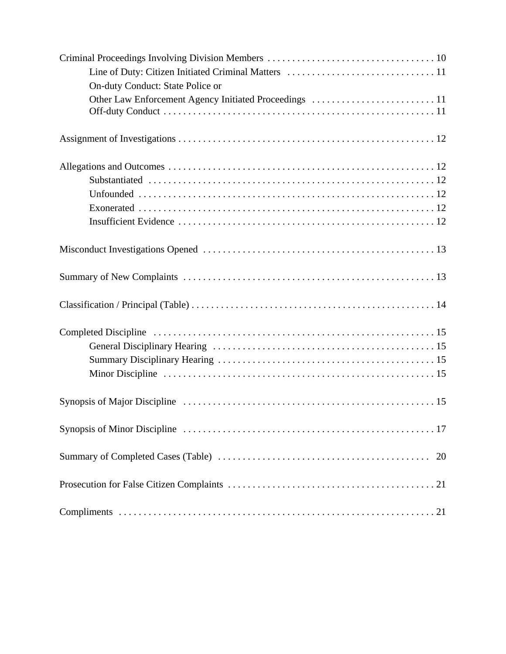| On-duty Conduct: State Police or |
|----------------------------------|
|                                  |
|                                  |
|                                  |
|                                  |
|                                  |
|                                  |
|                                  |
|                                  |
|                                  |
|                                  |
|                                  |
|                                  |
|                                  |
|                                  |
|                                  |
|                                  |
| 20                               |
|                                  |
|                                  |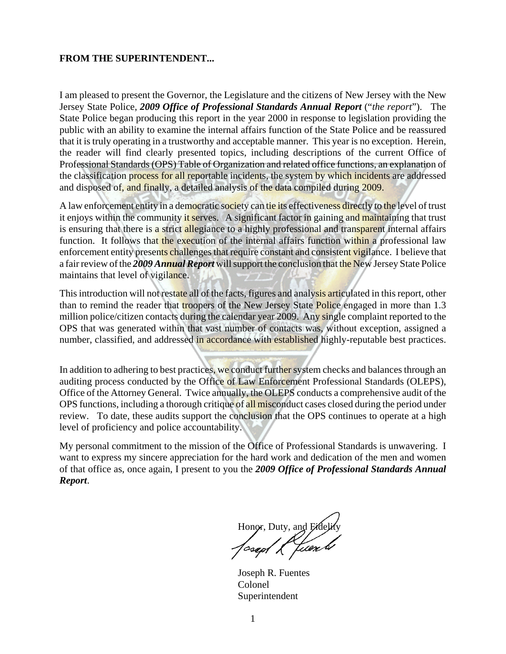#### **FROM THE SUPERINTENDENT...**

I am pleased to present the Governor, the Legislature and the citizens of New Jersey with the New Jersey State Police, *2009 Office of Professional Standards Annual Report* ("*the report*"). The State Police began producing this report in the year 2000 in response to legislation providing the public with an ability to examine the internal affairs function of the State Police and be reassured that it is truly operating in a trustworthy and acceptable manner. This year is no exception. Herein, the reader will find clearly presented topics, including descriptions of the current Office of Professional Standards (OPS) Table of Organization and related office functions, an explanation of the classification process for all reportable incidents, the system by which incidents are addressed and disposed of, and finally, a detailed analysis of the data compiled during 2009.

A law enforcement entity in a democratic society can tie its effectiveness directly to the level of trust it enjoys within the community it serves. A significant factor in gaining and maintaining that trust is ensuring that there is a strict allegiance to a highly professional and transparent internal affairs function. It follows that the execution of the internal affairs function within a professional law enforcement entity presents challenges that require constant and consistent vigilance. I believe that a fair review of the *2009 Annual Report* will support the conclusion that the New Jersey State Police maintains that level of vigilance.

This introduction will not restate all of the facts, figures and analysis articulated in this report, other than to remind the reader that *troopers* of the New Jersey State Police engaged in more than 1.3 million police/citizen contacts during the calendar year 2009. Any single complaint reported to the OPS that was generated within that vast number of contacts was, without exception, assigned a number, classified, and addressed in accordance with established highly-reputable best practices.

In addition to adhering to best practices, we conduct further system checks and balances through an auditing process conducted by the Office of Law Enforcement Professional Standards (OLEPS), Office of the Attorney General. Twice annually, the OLEPS conducts a comprehensive audit of the OPS functions, including a thorough critique of all misconduct cases closed during the period under review. To date, these audits support the conclusion that the OPS continues to operate at a high level of proficiency and police accountability.

My personal commitment to the mission of the Office of Professional Standards is unwavering. I want to express my sincere appreciation for the hard work and dedication of the men and women of that office as, once again, I present to you the *2009 Office of Professional Standards Annual Report*.

Honor, Duty, and Fidelity

Joseph R. Fuentes Colonel Superintendent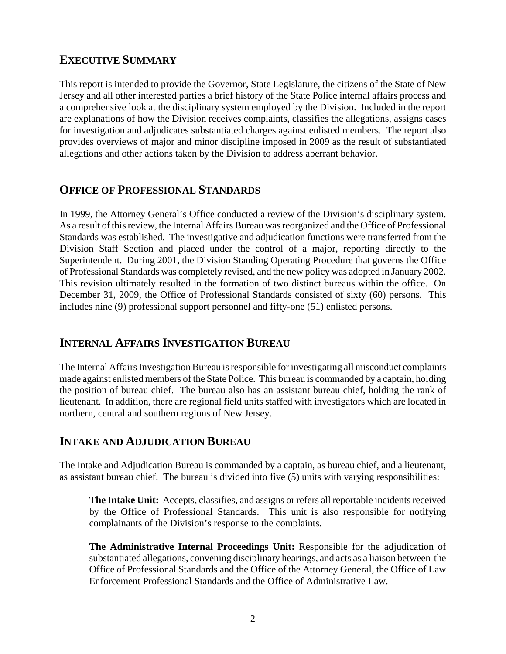#### **EXECUTIVE SUMMARY**

This report is intended to provide the Governor, State Legislature, the citizens of the State of New Jersey and all other interested parties a brief history of the State Police internal affairs process and a comprehensive look at the disciplinary system employed by the Division. Included in the report are explanations of how the Division receives complaints, classifies the allegations, assigns cases for investigation and adjudicates substantiated charges against enlisted members. The report also provides overviews of major and minor discipline imposed in 2009 as the result of substantiated allegations and other actions taken by the Division to address aberrant behavior.

## **OFFICE OF PROFESSIONAL STANDARDS**

In 1999, the Attorney General's Office conducted a review of the Division's disciplinary system. As a result of this review, the Internal Affairs Bureau was reorganized and the Office of Professional Standards was established. The investigative and adjudication functions were transferred from the Division Staff Section and placed under the control of a major, reporting directly to the Superintendent. During 2001, the Division Standing Operating Procedure that governs the Office of Professional Standards was completely revised, and the new policy was adopted in January 2002. This revision ultimately resulted in the formation of two distinct bureaus within the office. On December 31, 2009, the Office of Professional Standards consisted of sixty (60) persons. This includes nine (9) professional support personnel and fifty-one (51) enlisted persons.

#### **INTERNAL AFFAIRS INVESTIGATION BUREAU**

The Internal Affairs Investigation Bureau is responsible for investigating all misconduct complaints made against enlisted members of the State Police. This bureau is commanded by a captain, holding the position of bureau chief. The bureau also has an assistant bureau chief, holding the rank of lieutenant. In addition, there are regional field units staffed with investigators which are located in northern, central and southern regions of New Jersey.

#### **INTAKE AND ADJUDICATION BUREAU**

The Intake and Adjudication Bureau is commanded by a captain, as bureau chief, and a lieutenant, as assistant bureau chief. The bureau is divided into five (5) units with varying responsibilities:

**The Intake Unit:** Accepts, classifies, and assigns or refers all reportable incidents received by the Office of Professional Standards. This unit is also responsible for notifying complainants of the Division's response to the complaints.

**The Administrative Internal Proceedings Unit:** Responsible for the adjudication of substantiated allegations, convening disciplinary hearings, and acts as a liaison between the Office of Professional Standards and the Office of the Attorney General, the Office of Law Enforcement Professional Standards and the Office of Administrative Law.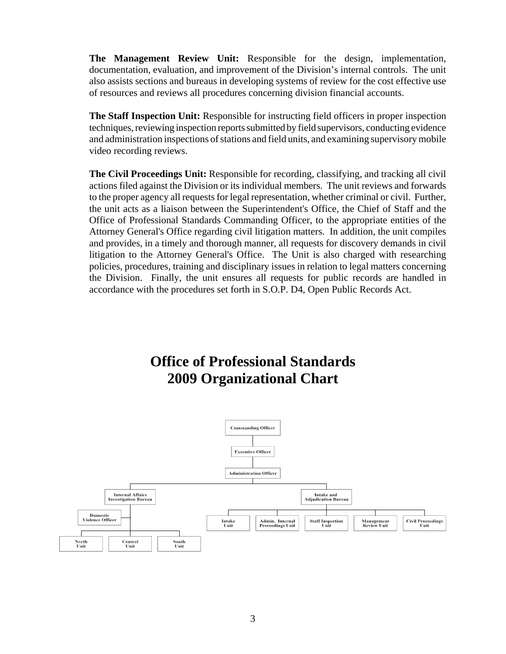**The Management Review Unit:** Responsible for the design, implementation, documentation, evaluation, and improvement of the Division's internal controls. The unit also assists sections and bureaus in developing systems of review for the cost effective use of resources and reviews all procedures concerning division financial accounts.

**The Staff Inspection Unit:** Responsible for instructing field officers in proper inspection techniques, reviewing inspection reports submitted by field supervisors, conducting evidence and administration inspections of stations and field units, and examining supervisory mobile video recording reviews.

**The Civil Proceedings Unit:** Responsible for recording, classifying, and tracking all civil actions filed against the Division or its individual members. The unit reviews and forwards to the proper agency all requests for legal representation, whether criminal or civil. Further, the unit acts as a liaison between the Superintendent's Office, the Chief of Staff and the Office of Professional Standards Commanding Officer, to the appropriate entities of the Attorney General's Office regarding civil litigation matters. In addition, the unit compiles and provides, in a timely and thorough manner, all requests for discovery demands in civil litigation to the Attorney General's Office. The Unit is also charged with researching policies, procedures, training and disciplinary issues in relation to legal matters concerning the Division. Finally, the unit ensures all requests for public records are handled in accordance with the procedures set forth in S.O.P. D4, Open Public Records Act.

## **Office of Professional Standards 2009 Organizational Chart**

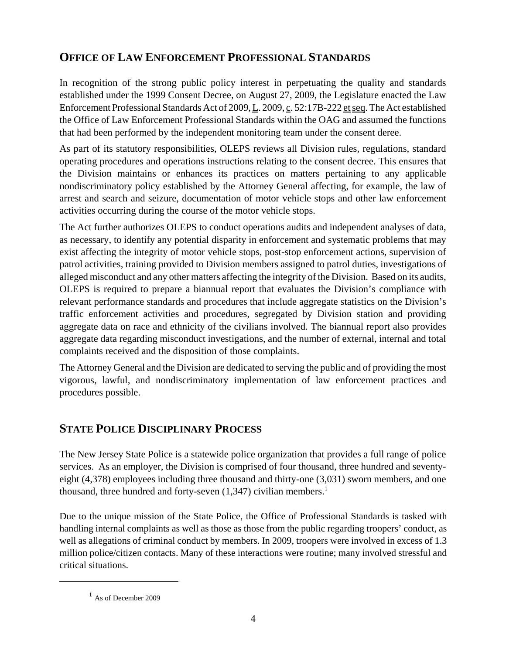## **OFFICE OF LAW ENFORCEMENT PROFESSIONAL STANDARDS**

In recognition of the strong public policy interest in perpetuating the quality and standards established under the 1999 Consent Decree, on August 27, 2009, the Legislature enacted the Law Enforcement Professional Standards Act of 2009, L. 2009, c. 52:17B-222 et seq. The Act established the Office of Law Enforcement Professional Standards within the OAG and assumed the functions that had been performed by the independent monitoring team under the consent deree.

As part of its statutory responsibilities, OLEPS reviews all Division rules, regulations, standard operating procedures and operations instructions relating to the consent decree. This ensures that the Division maintains or enhances its practices on matters pertaining to any applicable nondiscriminatory policy established by the Attorney General affecting, for example, the law of arrest and search and seizure, documentation of motor vehicle stops and other law enforcement activities occurring during the course of the motor vehicle stops.

The Act further authorizes OLEPS to conduct operations audits and independent analyses of data, as necessary, to identify any potential disparity in enforcement and systematic problems that may exist affecting the integrity of motor vehicle stops, post-stop enforcement actions, supervision of patrol activities, training provided to Division members assigned to patrol duties, investigations of alleged misconduct and any other matters affecting the integrity of the Division. Based on its audits, OLEPS is required to prepare a biannual report that evaluates the Division's compliance with relevant performance standards and procedures that include aggregate statistics on the Division's traffic enforcement activities and procedures, segregated by Division station and providing aggregate data on race and ethnicity of the civilians involved. The biannual report also provides aggregate data regarding misconduct investigations, and the number of external, internal and total complaints received and the disposition of those complaints.

The Attorney General and the Division are dedicated to serving the public and of providing the most vigorous, lawful, and nondiscriminatory implementation of law enforcement practices and procedures possible.

## **STATE POLICE DISCIPLINARY PROCESS**

The New Jersey State Police is a statewide police organization that provides a full range of police services. As an employer, the Division is comprised of four thousand, three hundred and seventyeight (4,378) employees including three thousand and thirty-one (3,031) sworn members, and one thousand, three hundred and forty-seven  $(1,347)$  civilian members.<sup>1</sup>

Due to the unique mission of the State Police, the Office of Professional Standards is tasked with handling internal complaints as well as those as those from the public regarding troopers' conduct, as well as allegations of criminal conduct by members. In 2009, troopers were involved in excess of 1.3 million police/citizen contacts. Many of these interactions were routine; many involved stressful and critical situations.

**<sup>1</sup>** As of December 2009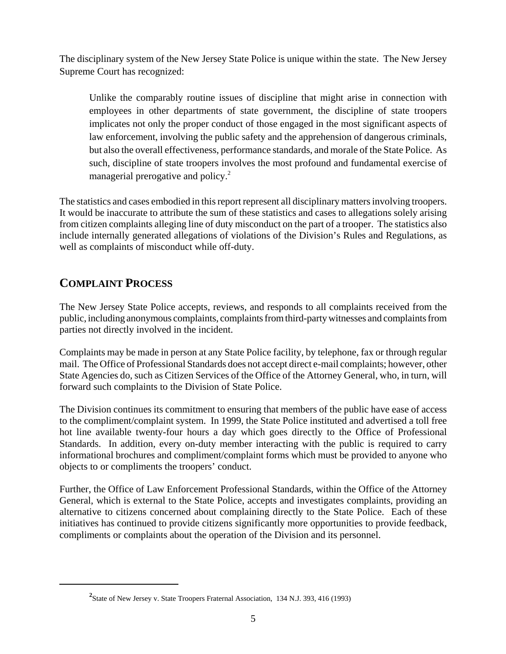The disciplinary system of the New Jersey State Police is unique within the state. The New Jersey Supreme Court has recognized:

Unlike the comparably routine issues of discipline that might arise in connection with employees in other departments of state government, the discipline of state troopers implicates not only the proper conduct of those engaged in the most significant aspects of law enforcement, involving the public safety and the apprehension of dangerous criminals, but also the overall effectiveness, performance standards, and morale of the State Police. As such, discipline of state troopers involves the most profound and fundamental exercise of managerial prerogative and policy. $^2$ 

The statistics and cases embodied in this report represent all disciplinary matters involving troopers. It would be inaccurate to attribute the sum of these statistics and cases to allegations solely arising from citizen complaints alleging line of duty misconduct on the part of a trooper. The statistics also include internally generated allegations of violations of the Division's Rules and Regulations, as well as complaints of misconduct while off-duty.

## **COMPLAINT PROCESS**

The New Jersey State Police accepts, reviews, and responds to all complaints received from the public, including anonymous complaints, complaints from third-party witnesses and complaints from parties not directly involved in the incident.

Complaints may be made in person at any State Police facility, by telephone, fax or through regular mail. The Office of Professional Standards does not accept direct e-mail complaints; however, other State Agencies do, such as Citizen Services of the Office of the Attorney General, who, in turn, will forward such complaints to the Division of State Police.

The Division continues its commitment to ensuring that members of the public have ease of access to the compliment/complaint system. In 1999, the State Police instituted and advertised a toll free hot line available twenty-four hours a day which goes directly to the Office of Professional Standards. In addition, every on-duty member interacting with the public is required to carry informational brochures and compliment/complaint forms which must be provided to anyone who objects to or compliments the troopers' conduct.

Further, the Office of Law Enforcement Professional Standards, within the Office of the Attorney General, which is external to the State Police, accepts and investigates complaints, providing an alternative to citizens concerned about complaining directly to the State Police. Each of these initiatives has continued to provide citizens significantly more opportunities to provide feedback, compliments or complaints about the operation of the Division and its personnel.

**<sup>2</sup>** State of New Jersey v. State Troopers Fraternal Association, 134 N.J. 393, 416 (1993)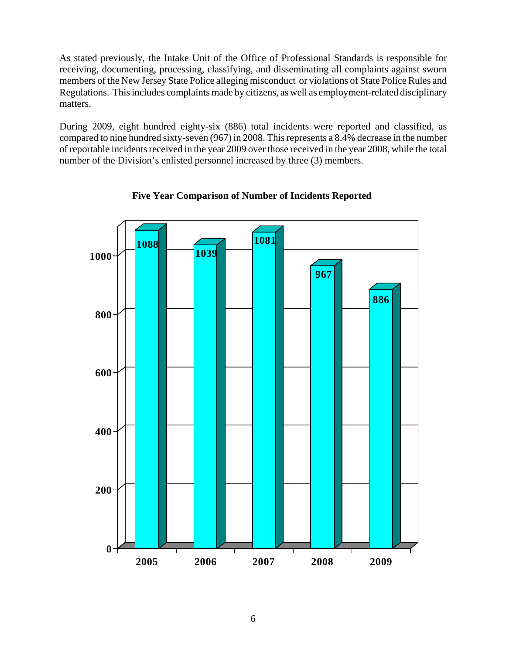As stated previously, the Intake Unit of the Office of Professional Standards is responsible for receiving, documenting, processing, classifying, and disseminating all complaints against sworn members of the New Jersey State Police alleging misconduct or violations of State Police Rules and Regulations. This includes complaints made by citizens, as well as employment-related disciplinary matters.

During 2009, eight hundred eighty-six (886) total incidents were reported and classified, as compared to nine hundred sixty-seven (967) in 2008. This represents a 8.4% decrease in the number of reportable incidents received in the year 2009 over those received in the year 2008, while the total number of the Division's enlisted personnel increased by three (3) members.



**Five Year Comparison of Number of Incidents Reported**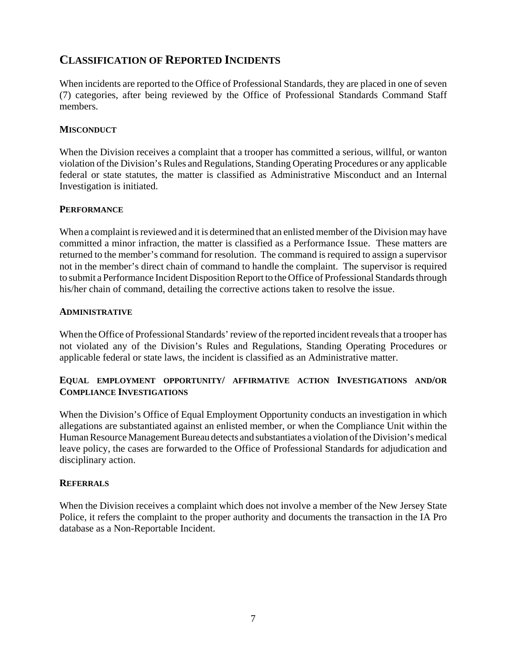#### **CLASSIFICATION OF REPORTED INCIDENTS**

When incidents are reported to the Office of Professional Standards, they are placed in one of seven (7) categories, after being reviewed by the Office of Professional Standards Command Staff members.

#### **MISCONDUCT**

When the Division receives a complaint that a trooper has committed a serious, willful, or wanton violation of the Division's Rules and Regulations, Standing Operating Procedures or any applicable federal or state statutes, the matter is classified as Administrative Misconduct and an Internal Investigation is initiated.

#### **PERFORMANCE**

When a complaint is reviewed and it is determined that an enlisted member of the Division may have committed a minor infraction, the matter is classified as a Performance Issue. These matters are returned to the member's command for resolution. The command is required to assign a supervisor not in the member's direct chain of command to handle the complaint. The supervisor is required to submit a Performance Incident Disposition Report to the Office of Professional Standards through his/her chain of command, detailing the corrective actions taken to resolve the issue.

#### **ADMINISTRATIVE**

When the Office of Professional Standards' review of the reported incident reveals that a trooper has not violated any of the Division's Rules and Regulations, Standing Operating Procedures or applicable federal or state laws, the incident is classified as an Administrative matter.

#### **EQUAL EMPLOYMENT OPPORTUNITY/ AFFIRMATIVE ACTION INVESTIGATIONS AND/OR COMPLIANCE INVESTIGATIONS**

When the Division's Office of Equal Employment Opportunity conducts an investigation in which allegations are substantiated against an enlisted member, or when the Compliance Unit within the Human Resource Management Bureau detects and substantiates a violation of the Division's medical leave policy, the cases are forwarded to the Office of Professional Standards for adjudication and disciplinary action.

#### **REFERRALS**

When the Division receives a complaint which does not involve a member of the New Jersey State Police, it refers the complaint to the proper authority and documents the transaction in the IA Pro database as a Non-Reportable Incident.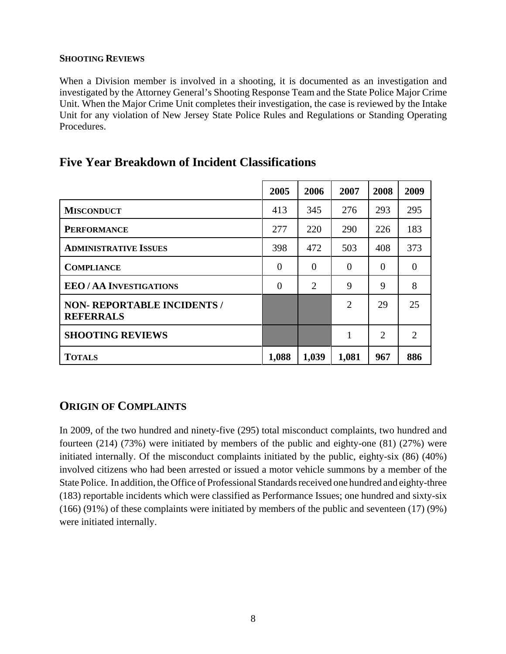#### **SHOOTING REVIEWS**

When a Division member is involved in a shooting, it is documented as an investigation and investigated by the Attorney General's Shooting Response Team and the State Police Major Crime Unit. When the Major Crime Unit completes their investigation, the case is reviewed by the Intake Unit for any violation of New Jersey State Police Rules and Regulations or Standing Operating Procedures.

|                                                        | 2005           | 2006     | 2007     | 2008           | 2009                        |
|--------------------------------------------------------|----------------|----------|----------|----------------|-----------------------------|
| <b>MISCONDUCT</b>                                      | 413            | 345      | 276      | 293            | 295                         |
| <b>PERFORMANCE</b>                                     | 277            | 220      | 290      | 226            | 183                         |
| <b>ADMINISTRATIVE ISSUES</b>                           | 398            | 472      | 503      | 408            | 373                         |
| <b>COMPLIANCE</b>                                      | $\overline{0}$ | $\theta$ | $\theta$ | $\Omega$       | $\overline{0}$              |
| <b>EEO/AA INVESTIGATIONS</b>                           | $\theta$       | 2        | 9        | 9              | 8                           |
| <b>NON- REPORTABLE INCIDENTS /</b><br><b>REFERRALS</b> |                |          | 2        | 29             | 25                          |
| <b>SHOOTING REVIEWS</b>                                |                |          | 1        | $\overline{2}$ | $\mathcal{D}_{\mathcal{L}}$ |
| <b>TOTALS</b>                                          | 1,088          | 1,039    | 1,081    | 967            | 886                         |

## **Five Year Breakdown of Incident Classifications**

## **ORIGIN OF COMPLAINTS**

In 2009, of the two hundred and ninety-five (295) total misconduct complaints, two hundred and fourteen (214) (73%) were initiated by members of the public and eighty-one (81) (27%) were initiated internally. Of the misconduct complaints initiated by the public, eighty-six (86) (40%) involved citizens who had been arrested or issued a motor vehicle summons by a member of the State Police. In addition, the Office of Professional Standards received one hundred and eighty-three (183) reportable incidents which were classified as Performance Issues; one hundred and sixty-six (166) (91%) of these complaints were initiated by members of the public and seventeen (17) (9%) were initiated internally.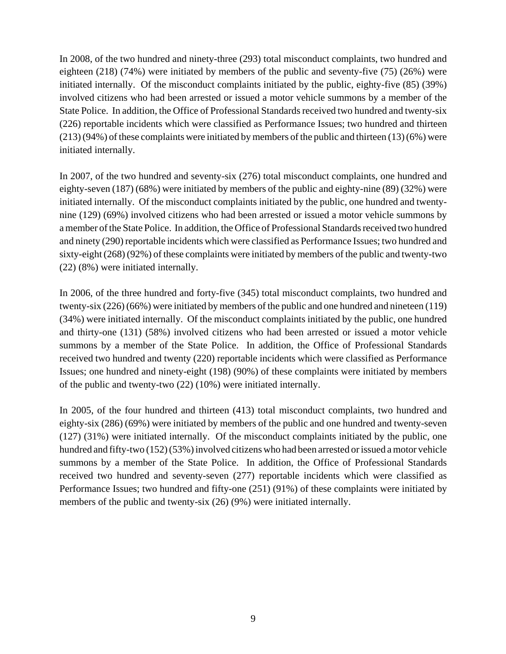In 2008, of the two hundred and ninety-three (293) total misconduct complaints, two hundred and eighteen (218) (74%) were initiated by members of the public and seventy-five (75) (26%) were initiated internally. Of the misconduct complaints initiated by the public, eighty-five (85) (39%) involved citizens who had been arrested or issued a motor vehicle summons by a member of the State Police. In addition, the Office of Professional Standards received two hundred and twenty-six (226) reportable incidents which were classified as Performance Issues; two hundred and thirteen (213) (94%) of these complaints were initiated by members of the public and thirteen (13) (6%) were initiated internally.

In 2007, of the two hundred and seventy-six (276) total misconduct complaints, one hundred and eighty-seven (187) (68%) were initiated by members of the public and eighty-nine (89) (32%) were initiated internally. Of the misconduct complaints initiated by the public, one hundred and twentynine (129) (69%) involved citizens who had been arrested or issued a motor vehicle summons by a member of the State Police. In addition, the Office of Professional Standards received two hundred and ninety (290) reportable incidents which were classified as Performance Issues; two hundred and sixty-eight (268) (92%) of these complaints were initiated by members of the public and twenty-two (22) (8%) were initiated internally.

In 2006, of the three hundred and forty-five (345) total misconduct complaints, two hundred and twenty-six (226) (66%) were initiated by members of the public and one hundred and nineteen (119) (34%) were initiated internally. Of the misconduct complaints initiated by the public, one hundred and thirty-one (131) (58%) involved citizens who had been arrested or issued a motor vehicle summons by a member of the State Police. In addition, the Office of Professional Standards received two hundred and twenty (220) reportable incidents which were classified as Performance Issues; one hundred and ninety-eight (198) (90%) of these complaints were initiated by members of the public and twenty-two (22) (10%) were initiated internally.

In 2005, of the four hundred and thirteen (413) total misconduct complaints, two hundred and eighty-six (286) (69%) were initiated by members of the public and one hundred and twenty-seven (127) (31%) were initiated internally. Of the misconduct complaints initiated by the public, one hundred and fifty-two (152) (53%) involved citizens who had been arrested or issued a motor vehicle summons by a member of the State Police. In addition, the Office of Professional Standards received two hundred and seventy-seven (277) reportable incidents which were classified as Performance Issues; two hundred and fifty-one (251) (91%) of these complaints were initiated by members of the public and twenty-six (26) (9%) were initiated internally.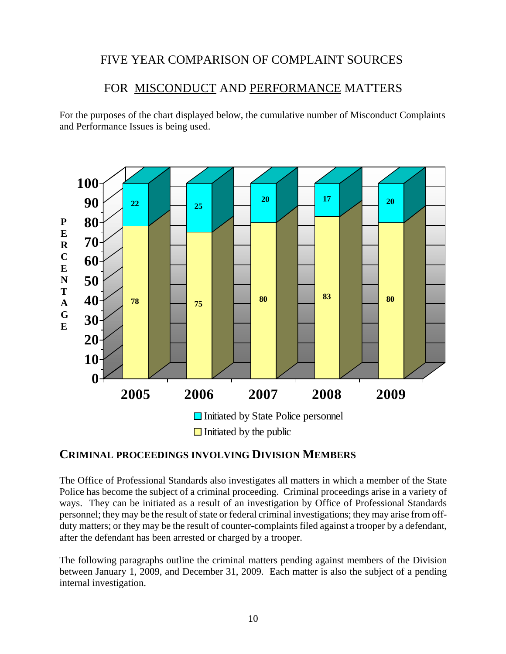## FIVE YEAR COMPARISON OF COMPLAINT SOURCES

#### FOR MISCONDUCT AND PERFORMANCE MATTERS

For the purposes of the chart displayed below, the cumulative number of Misconduct Complaints and Performance Issues is being used.



#### **CRIMINAL PROCEEDINGS INVOLVING DIVISION MEMBERS**

The Office of Professional Standards also investigates all matters in which a member of the State Police has become the subject of a criminal proceeding. Criminal proceedings arise in a variety of ways. They can be initiated as a result of an investigation by Office of Professional Standards personnel; they may be the result of state or federal criminal investigations; they may arise from offduty matters; or they may be the result of counter-complaints filed against a trooper by a defendant, after the defendant has been arrested or charged by a trooper.

The following paragraphs outline the criminal matters pending against members of the Division between January 1, 2009, and December 31, 2009. Each matter is also the subject of a pending internal investigation.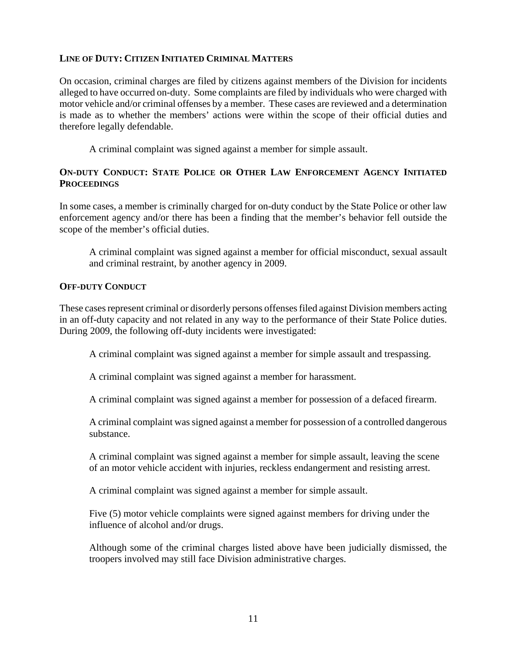#### **LINE OF DUTY: CITIZEN INITIATED CRIMINAL MATTERS**

On occasion, criminal charges are filed by citizens against members of the Division for incidents alleged to have occurred on-duty. Some complaints are filed by individuals who were charged with motor vehicle and/or criminal offenses by a member. These cases are reviewed and a determination is made as to whether the members' actions were within the scope of their official duties and therefore legally defendable.

A criminal complaint was signed against a member for simple assault.

#### **ON-DUTY CONDUCT: STATE POLICE OR OTHER LAW ENFORCEMENT AGENCY INITIATED PROCEEDINGS**

In some cases, a member is criminally charged for on-duty conduct by the State Police or other law enforcement agency and/or there has been a finding that the member's behavior fell outside the scope of the member's official duties.

A criminal complaint was signed against a member for official misconduct, sexual assault and criminal restraint, by another agency in 2009.

#### **OFF-DUTY CONDUCT**

These cases represent criminal or disorderly persons offenses filed against Division members acting in an off-duty capacity and not related in any way to the performance of their State Police duties. During 2009, the following off-duty incidents were investigated:

A criminal complaint was signed against a member for simple assault and trespassing.

A criminal complaint was signed against a member for harassment.

A criminal complaint was signed against a member for possession of a defaced firearm.

A criminal complaint was signed against a member for possession of a controlled dangerous substance.

A criminal complaint was signed against a member for simple assault, leaving the scene of an motor vehicle accident with injuries, reckless endangerment and resisting arrest.

A criminal complaint was signed against a member for simple assault.

Five (5) motor vehicle complaints were signed against members for driving under the influence of alcohol and/or drugs.

Although some of the criminal charges listed above have been judicially dismissed, the troopers involved may still face Division administrative charges.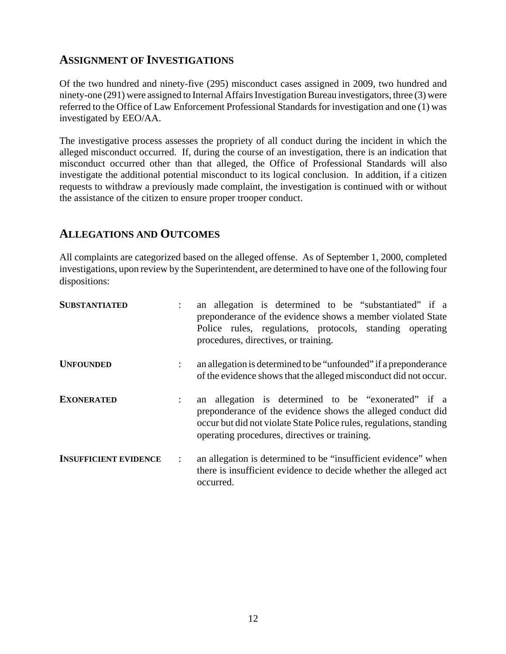#### **ASSIGNMENT OF INVESTIGATIONS**

Of the two hundred and ninety-five (295) misconduct cases assigned in 2009, two hundred and ninety-one (291) were assigned to Internal Affairs Investigation Bureau investigators, three (3) were referred to the Office of Law Enforcement Professional Standards for investigation and one (1) was investigated by EEO/AA.

The investigative process assesses the propriety of all conduct during the incident in which the alleged misconduct occurred. If, during the course of an investigation, there is an indication that misconduct occurred other than that alleged, the Office of Professional Standards will also investigate the additional potential misconduct to its logical conclusion. In addition, if a citizen requests to withdraw a previously made complaint, the investigation is continued with or without the assistance of the citizen to ensure proper trooper conduct.

#### **ALLEGATIONS AND OUTCOMES**

All complaints are categorized based on the alleged offense. As of September 1, 2000, completed investigations, upon review by the Superintendent, are determined to have one of the following four dispositions:

| <b>SUBSTANTIATED</b>         |                      | an allegation is determined to be "substantiated" if a<br>preponderance of the evidence shows a member violated State<br>Police rules, regulations, protocols, standing operating<br>procedures, directives, or training.                  |  |  |  |  |
|------------------------------|----------------------|--------------------------------------------------------------------------------------------------------------------------------------------------------------------------------------------------------------------------------------------|--|--|--|--|
| <b>UNFOUNDED</b>             | $\ddot{\phantom{0}}$ | an allegation is determined to be "unfounded" if a preponderance<br>of the evidence shows that the alleged misconduct did not occur.                                                                                                       |  |  |  |  |
| <b>EXONERATED</b>            | $\ddot{\phantom{0}}$ | an allegation is determined to be "exonerated" if a<br>preponderance of the evidence shows the alleged conduct did<br>occur but did not violate State Police rules, regulations, standing<br>operating procedures, directives or training. |  |  |  |  |
| <b>INSUFFICIENT EVIDENCE</b> | $\ddot{\phantom{a}}$ | an allegation is determined to be "insufficient evidence" when<br>there is insufficient evidence to decide whether the alleged act<br>occurred.                                                                                            |  |  |  |  |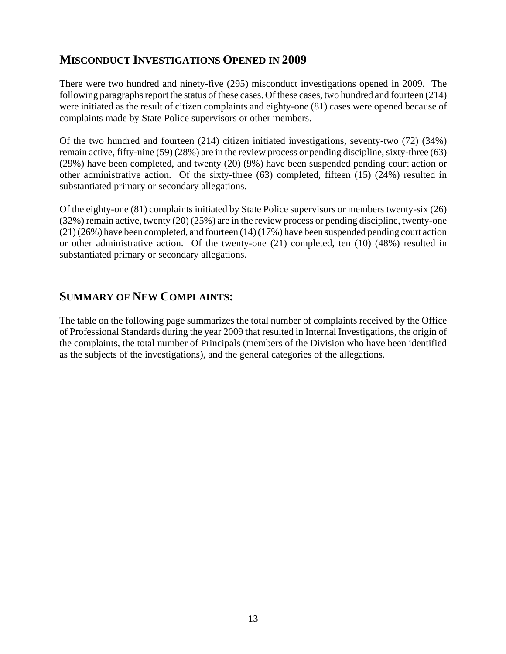## **MISCONDUCT INVESTIGATIONS OPENED IN 2009**

There were two hundred and ninety-five (295) misconduct investigations opened in 2009. The following paragraphs report the status of these cases. Of these cases, two hundred and fourteen (214) were initiated as the result of citizen complaints and eighty-one (81) cases were opened because of complaints made by State Police supervisors or other members.

Of the two hundred and fourteen (214) citizen initiated investigations, seventy-two (72) (34%) remain active, fifty-nine (59) (28%) are in the review process or pending discipline, sixty-three (63) (29%) have been completed, and twenty (20) (9%) have been suspended pending court action or other administrative action. Of the sixty-three (63) completed, fifteen (15) (24%) resulted in substantiated primary or secondary allegations.

Of the eighty-one (81) complaints initiated by State Police supervisors or members twenty-six (26) (32%) remain active, twenty (20) (25%) are in the review process or pending discipline, twenty-one (21) (26%) have been completed, and fourteen (14) (17%) have been suspended pending court action or other administrative action. Of the twenty-one (21) completed, ten (10) (48%) resulted in substantiated primary or secondary allegations.

## **SUMMARY OF NEW COMPLAINTS:**

The table on the following page summarizes the total number of complaints received by the Office of Professional Standards during the year 2009 that resulted in Internal Investigations, the origin of the complaints, the total number of Principals (members of the Division who have been identified as the subjects of the investigations), and the general categories of the allegations.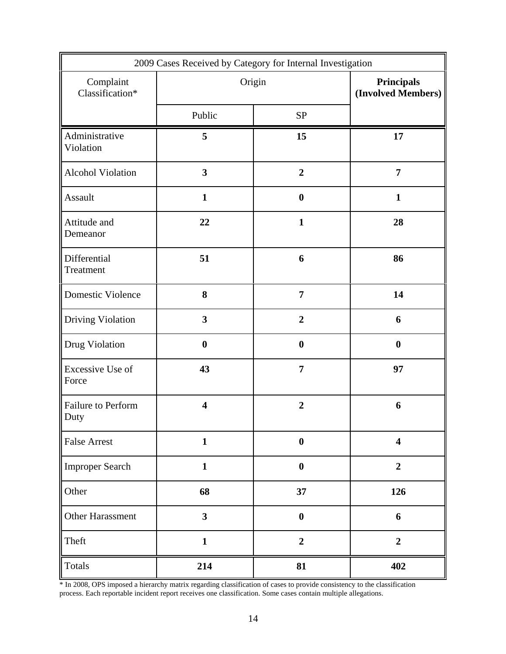| 2009 Cases Received by Category for Internal Investigation |                         |                                         |                         |  |  |
|------------------------------------------------------------|-------------------------|-----------------------------------------|-------------------------|--|--|
| Complaint<br>Classification*                               | Origin                  | <b>Principals</b><br>(Involved Members) |                         |  |  |
|                                                            | Public                  | ${\rm SP}$                              |                         |  |  |
| Administrative<br>Violation                                | 5                       | 15                                      | 17                      |  |  |
| <b>Alcohol Violation</b>                                   | $\overline{\mathbf{3}}$ | $\overline{2}$                          | $\overline{7}$          |  |  |
| Assault                                                    | $\mathbf{1}$            | $\boldsymbol{0}$                        | $\mathbf{1}$            |  |  |
| Attitude and<br>Demeanor                                   | 22                      | $\mathbf{1}$                            | 28                      |  |  |
| Differential<br>Treatment                                  | 51                      | 6                                       | 86                      |  |  |
| Domestic Violence                                          | 8                       | $\overline{7}$                          | 14                      |  |  |
| Driving Violation                                          | 3                       | $\overline{2}$                          | 6                       |  |  |
| Drug Violation                                             | $\boldsymbol{0}$        | $\boldsymbol{0}$                        | $\boldsymbol{0}$        |  |  |
| Excessive Use of<br>Force                                  | 43                      | $\overline{7}$                          | 97                      |  |  |
| Failure to Perform<br>Duty                                 | $\overline{\mathbf{4}}$ | $\overline{2}$                          | 6                       |  |  |
| <b>False Arrest</b>                                        | $\mathbf{1}$            | $\boldsymbol{0}$                        | $\overline{\mathbf{4}}$ |  |  |
| Improper Search                                            | $\mathbf{1}$            | $\boldsymbol{0}$                        | $\overline{2}$          |  |  |
| Other                                                      | 68                      | 37                                      | 126                     |  |  |
| Other Harassment                                           | $\overline{\mathbf{3}}$ | $\boldsymbol{0}$                        | 6                       |  |  |
| Theft                                                      | $\mathbf{1}$            | $\overline{2}$                          | $\boldsymbol{2}$        |  |  |
| Totals                                                     | 214                     | 81                                      | 402                     |  |  |

\* In 2008, OPS imposed a hierarchy matrix regarding classification of cases to provide consistency to the classification process. Each reportable incident report receives one classification. Some cases contain multiple allegations.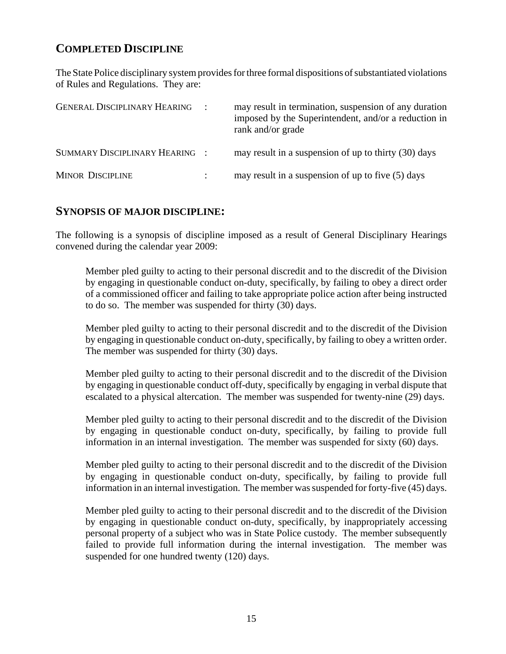## **COMPLETED DISCIPLINE**

The State Police disciplinary system provides for three formal dispositions of substantiated violations of Rules and Regulations. They are:

| <b>GENERAL DISCIPLINARY HEARING</b> | may result in termination, suspension of any duration<br>imposed by the Superintendent, and/or a reduction in<br>rank and/or grade |
|-------------------------------------|------------------------------------------------------------------------------------------------------------------------------------|
| SUMMARY DISCIPLINARY HEARING :      | may result in a suspension of up to thirty (30) days                                                                               |
| <b>MINOR DISCIPLINE</b>             | may result in a suspension of up to five (5) days                                                                                  |

#### **SYNOPSIS OF MAJOR DISCIPLINE:**

The following is a synopsis of discipline imposed as a result of General Disciplinary Hearings convened during the calendar year 2009:

Member pled guilty to acting to their personal discredit and to the discredit of the Division by engaging in questionable conduct on-duty, specifically, by failing to obey a direct order of a commissioned officer and failing to take appropriate police action after being instructed to do so. The member was suspended for thirty (30) days.

Member pled guilty to acting to their personal discredit and to the discredit of the Division by engaging in questionable conduct on-duty, specifically, by failing to obey a written order. The member was suspended for thirty (30) days.

Member pled guilty to acting to their personal discredit and to the discredit of the Division by engaging in questionable conduct off-duty, specifically by engaging in verbal dispute that escalated to a physical altercation. The member was suspended for twenty-nine (29) days.

Member pled guilty to acting to their personal discredit and to the discredit of the Division by engaging in questionable conduct on-duty, specifically, by failing to provide full information in an internal investigation. The member was suspended for sixty (60) days.

Member pled guilty to acting to their personal discredit and to the discredit of the Division by engaging in questionable conduct on-duty, specifically, by failing to provide full information in an internal investigation. The member was suspended for forty-five (45) days.

Member pled guilty to acting to their personal discredit and to the discredit of the Division by engaging in questionable conduct on-duty, specifically, by inappropriately accessing personal property of a subject who was in State Police custody. The member subsequently failed to provide full information during the internal investigation. The member was suspended for one hundred twenty (120) days.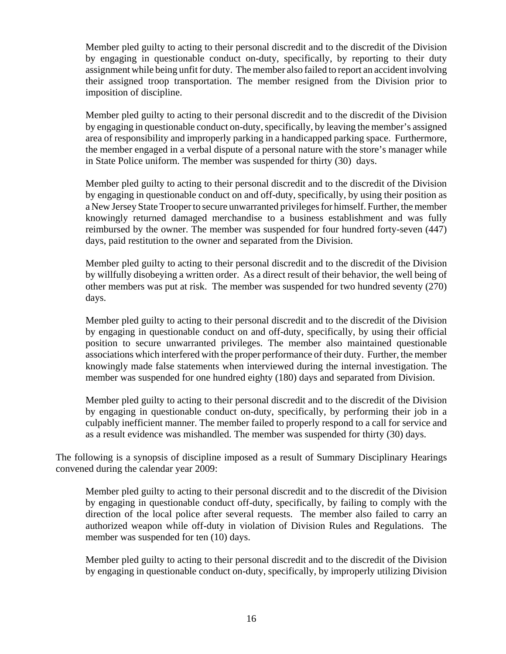Member pled guilty to acting to their personal discredit and to the discredit of the Division by engaging in questionable conduct on-duty, specifically, by reporting to their duty assignment while being unfit for duty. The member also failed to report an accident involving their assigned troop transportation. The member resigned from the Division prior to imposition of discipline.

Member pled guilty to acting to their personal discredit and to the discredit of the Division by engaging in questionable conduct on-duty, specifically, by leaving the member's assigned area of responsibility and improperly parking in a handicapped parking space. Furthermore, the member engaged in a verbal dispute of a personal nature with the store's manager while in State Police uniform. The member was suspended for thirty (30) days.

Member pled guilty to acting to their personal discredit and to the discredit of the Division by engaging in questionable conduct on and off-duty, specifically, by using their position as a New Jersey State Trooper to secure unwarranted privileges for himself. Further, the member knowingly returned damaged merchandise to a business establishment and was fully reimbursed by the owner. The member was suspended for four hundred forty-seven (447) days, paid restitution to the owner and separated from the Division.

Member pled guilty to acting to their personal discredit and to the discredit of the Division by willfully disobeying a written order. As a direct result of their behavior, the well being of other members was put at risk. The member was suspended for two hundred seventy (270) days.

Member pled guilty to acting to their personal discredit and to the discredit of the Division by engaging in questionable conduct on and off-duty, specifically, by using their official position to secure unwarranted privileges. The member also maintained questionable associations which interfered with the proper performance of their duty. Further, the member knowingly made false statements when interviewed during the internal investigation. The member was suspended for one hundred eighty (180) days and separated from Division.

Member pled guilty to acting to their personal discredit and to the discredit of the Division by engaging in questionable conduct on-duty, specifically, by performing their job in a culpably inefficient manner. The member failed to properly respond to a call for service and as a result evidence was mishandled. The member was suspended for thirty (30) days.

The following is a synopsis of discipline imposed as a result of Summary Disciplinary Hearings convened during the calendar year 2009:

Member pled guilty to acting to their personal discredit and to the discredit of the Division by engaging in questionable conduct off-duty, specifically, by failing to comply with the direction of the local police after several requests. The member also failed to carry an authorized weapon while off-duty in violation of Division Rules and Regulations. The member was suspended for ten (10) days.

Member pled guilty to acting to their personal discredit and to the discredit of the Division by engaging in questionable conduct on-duty, specifically, by improperly utilizing Division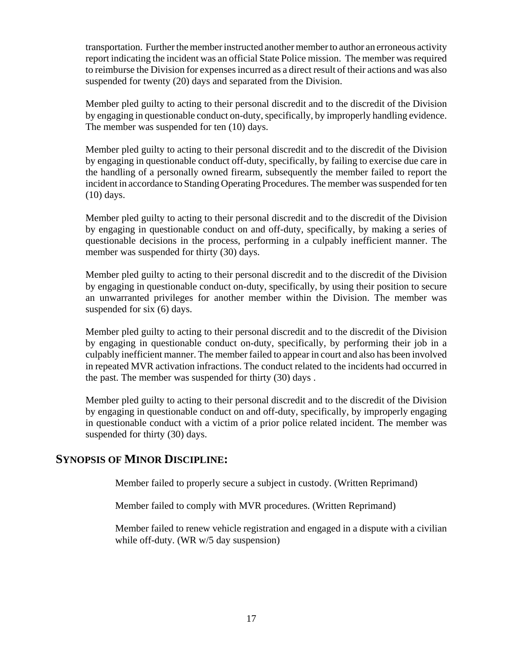transportation. Further the member instructed another member to author an erroneous activity report indicating the incident was an official State Police mission. The member was required to reimburse the Division for expenses incurred as a direct result of their actions and was also suspended for twenty (20) days and separated from the Division.

Member pled guilty to acting to their personal discredit and to the discredit of the Division by engaging in questionable conduct on-duty, specifically, by improperly handling evidence. The member was suspended for ten (10) days.

Member pled guilty to acting to their personal discredit and to the discredit of the Division by engaging in questionable conduct off-duty, specifically, by failing to exercise due care in the handling of a personally owned firearm, subsequently the member failed to report the incident in accordance to Standing Operating Procedures. The member was suspended for ten (10) days.

Member pled guilty to acting to their personal discredit and to the discredit of the Division by engaging in questionable conduct on and off-duty, specifically, by making a series of questionable decisions in the process, performing in a culpably inefficient manner. The member was suspended for thirty (30) days.

Member pled guilty to acting to their personal discredit and to the discredit of the Division by engaging in questionable conduct on-duty, specifically, by using their position to secure an unwarranted privileges for another member within the Division. The member was suspended for six (6) days.

Member pled guilty to acting to their personal discredit and to the discredit of the Division by engaging in questionable conduct on-duty, specifically, by performing their job in a culpably inefficient manner. The member failed to appear in court and also has been involved in repeated MVR activation infractions. The conduct related to the incidents had occurred in the past. The member was suspended for thirty (30) days .

Member pled guilty to acting to their personal discredit and to the discredit of the Division by engaging in questionable conduct on and off-duty, specifically, by improperly engaging in questionable conduct with a victim of a prior police related incident. The member was suspended for thirty (30) days.

#### **SYNOPSIS OF MINOR DISCIPLINE:**

Member failed to properly secure a subject in custody. (Written Reprimand)

Member failed to comply with MVR procedures. (Written Reprimand)

Member failed to renew vehicle registration and engaged in a dispute with a civilian while off-duty. (WR w/5 day suspension)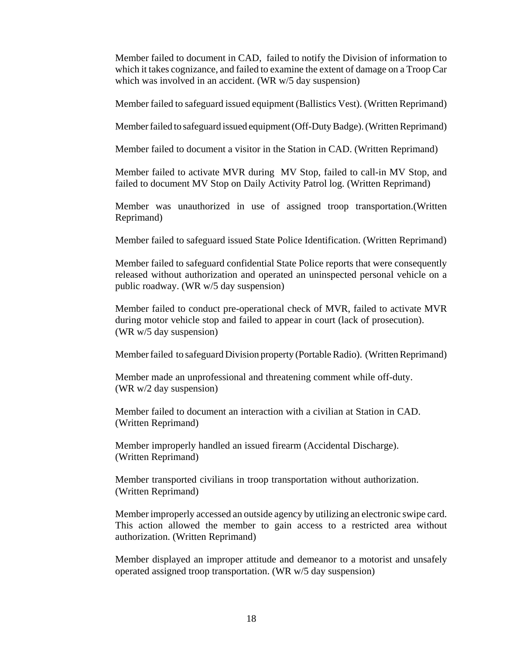Member failed to document in CAD, failed to notify the Division of information to which it takes cognizance, and failed to examine the extent of damage on a Troop Car which was involved in an accident. (WR w/5 day suspension)

Member failed to safeguard issued equipment (Ballistics Vest). (Written Reprimand)

Member failed to safeguard issued equipment (Off-Duty Badge). (Written Reprimand)

Member failed to document a visitor in the Station in CAD. (Written Reprimand)

Member failed to activate MVR during MV Stop, failed to call-in MV Stop, and failed to document MV Stop on Daily Activity Patrol log. (Written Reprimand)

Member was unauthorized in use of assigned troop transportation.(Written Reprimand)

Member failed to safeguard issued State Police Identification. (Written Reprimand)

Member failed to safeguard confidential State Police reports that were consequently released without authorization and operated an uninspected personal vehicle on a public roadway. (WR w/5 day suspension)

Member failed to conduct pre-operational check of MVR, failed to activate MVR during motor vehicle stop and failed to appear in court (lack of prosecution). (WR w/5 day suspension)

Member failed to safeguard Division property (Portable Radio). (Written Reprimand)

Member made an unprofessional and threatening comment while off-duty. (WR w/2 day suspension)

Member failed to document an interaction with a civilian at Station in CAD. (Written Reprimand)

Member improperly handled an issued firearm (Accidental Discharge). (Written Reprimand)

Member transported civilians in troop transportation without authorization. (Written Reprimand)

Member improperly accessed an outside agency by utilizing an electronic swipe card. This action allowed the member to gain access to a restricted area without authorization. (Written Reprimand)

Member displayed an improper attitude and demeanor to a motorist and unsafely operated assigned troop transportation. (WR w/5 day suspension)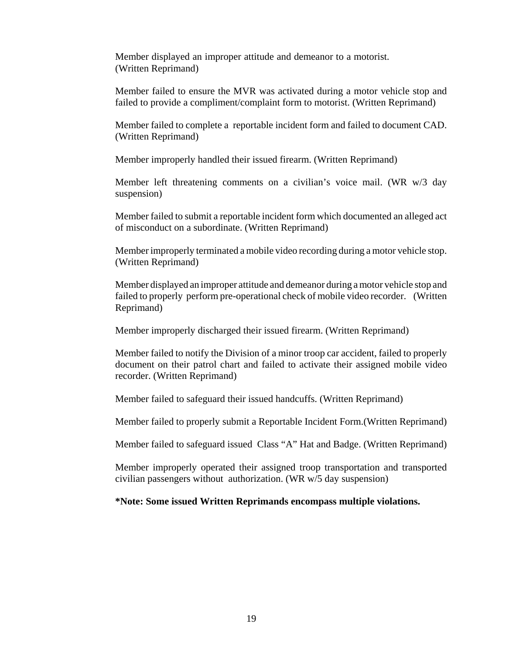Member displayed an improper attitude and demeanor to a motorist. (Written Reprimand)

Member failed to ensure the MVR was activated during a motor vehicle stop and failed to provide a compliment/complaint form to motorist. (Written Reprimand)

Member failed to complete a reportable incident form and failed to document CAD. (Written Reprimand)

Member improperly handled their issued firearm. (Written Reprimand)

Member left threatening comments on a civilian's voice mail. (WR w/3 day suspension)

Member failed to submit a reportable incident form which documented an alleged act of misconduct on a subordinate. (Written Reprimand)

Member improperly terminated a mobile video recording during a motor vehicle stop. (Written Reprimand)

Member displayed an improper attitude and demeanor during a motor vehicle stop and failed to properly perform pre-operational check of mobile video recorder. (Written Reprimand)

Member improperly discharged their issued firearm. (Written Reprimand)

Member failed to notify the Division of a minor troop car accident, failed to properly document on their patrol chart and failed to activate their assigned mobile video recorder. (Written Reprimand)

Member failed to safeguard their issued handcuffs. (Written Reprimand)

Member failed to properly submit a Reportable Incident Form.(Written Reprimand)

Member failed to safeguard issued Class "A" Hat and Badge. (Written Reprimand)

Member improperly operated their assigned troop transportation and transported civilian passengers without authorization. (WR w/5 day suspension)

**\*Note: Some issued Written Reprimands encompass multiple violations.**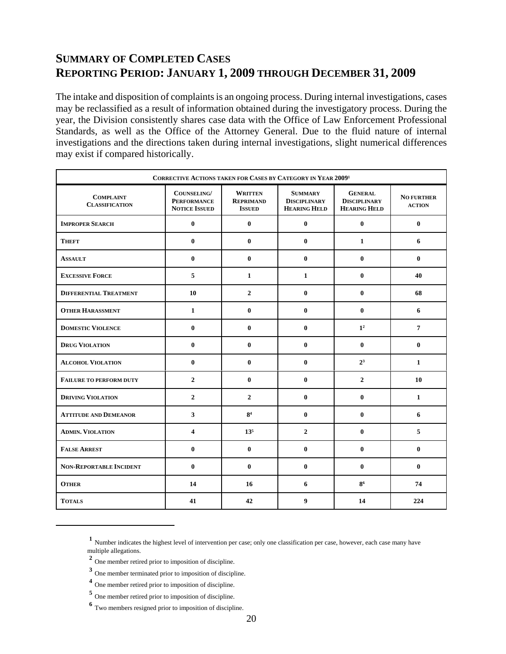## **SUMMARY OF COMPLETED CASES REPORTING PERIOD: JANUARY 1, 2009 THROUGH DECEMBER 31, 2009**

The intake and disposition of complaints is an ongoing process. During internal investigations, cases may be reclassified as a result of information obtained during the investigatory process. During the year, the Division consistently shares case data with the Office of Law Enforcement Professional Standards, as well as the Office of the Attorney General. Due to the fluid nature of internal investigations and the directions taken during internal investigations, slight numerical differences may exist if compared historically.

| CORRECTIVE ACTIONS TAKEN FOR CASES BY CATEGORY IN YEAR 20091 |                                                           |                                                     |                                                              |                                                              |                                    |  |  |
|--------------------------------------------------------------|-----------------------------------------------------------|-----------------------------------------------------|--------------------------------------------------------------|--------------------------------------------------------------|------------------------------------|--|--|
| <b>COMPLAINT</b><br><b>CLASSIFICATION</b>                    | COUNSELING/<br><b>PERFORMANCE</b><br><b>NOTICE ISSUED</b> | <b>WRITTEN</b><br><b>REPRIMAND</b><br><b>ISSUED</b> | <b>SUMMARY</b><br><b>DISCIPLINARY</b><br><b>HEARING HELD</b> | <b>GENERAL</b><br><b>DISCIPLINARY</b><br><b>HEARING HELD</b> | <b>NO FURTHER</b><br><b>ACTION</b> |  |  |
| <b>IMPROPER SEARCH</b>                                       | $\bf{0}$                                                  | $\bf{0}$                                            | $\bf{0}$                                                     | $\bf{0}$                                                     | $\bf{0}$                           |  |  |
| <b>THEFT</b>                                                 | $\bf{0}$                                                  | $\bf{0}$                                            | $\bf{0}$                                                     | $\mathbf{1}$                                                 | 6                                  |  |  |
| <b>ASSAULT</b>                                               | $\bf{0}$                                                  | $\bf{0}$                                            | $\bf{0}$                                                     | $\bf{0}$                                                     | $\bf{0}$                           |  |  |
| <b>EXCESSIVE FORCE</b>                                       | 5                                                         | $\mathbf{1}$                                        | $\mathbf{1}$                                                 | $\mathbf{0}$                                                 | 40                                 |  |  |
| <b>DIFFERENTIAL TREATMENT</b>                                | 10                                                        | $\mathbf{2}$                                        | $\mathbf{0}$                                                 | $\mathbf{0}$                                                 | 68                                 |  |  |
| <b>OTHER HARASSMENT</b>                                      | $\mathbf{1}$                                              | $\bf{0}$                                            | $\bf{0}$                                                     | $\bf{0}$                                                     | 6                                  |  |  |
| <b>DOMESTIC VIOLENCE</b>                                     | $\bf{0}$                                                  | $\bf{0}$                                            | $\bf{0}$                                                     | 1 <sup>2</sup>                                               | $\overline{7}$                     |  |  |
| <b>DRUG VIOLATION</b>                                        | $\bf{0}$                                                  | $\bf{0}$                                            | $\bf{0}$                                                     | $\bf{0}$                                                     | $\bf{0}$                           |  |  |
| <b>ALCOHOL VIOLATION</b>                                     | $\bf{0}$                                                  | $\bf{0}$                                            | $\mathbf{0}$                                                 | 2 <sup>3</sup>                                               | $\mathbf{1}$                       |  |  |
| <b>FAILURE TO PERFORM DUTY</b>                               | $\mathbf{2}$                                              | $\mathbf{0}$                                        | $\mathbf{0}$                                                 | $\mathbf{2}$                                                 | 10                                 |  |  |
| <b>DRIVING VIOLATION</b>                                     | $\mathbf{2}$                                              | $\mathbf{2}$                                        | $\bf{0}$                                                     | $\bf{0}$                                                     | $\mathbf{1}$                       |  |  |
| <b>ATTITUDE AND DEMEANOR</b>                                 | $\mathbf{3}$                                              | 8 <sup>4</sup>                                      | $\bf{0}$                                                     | $\bf{0}$                                                     | 6                                  |  |  |
| <b>ADMIN. VIOLATION</b>                                      | 4                                                         | 13 <sup>5</sup>                                     | $\overline{2}$                                               | $\bf{0}$                                                     | 5                                  |  |  |
| <b>FALSE ARREST</b>                                          | $\bf{0}$                                                  | $\bf{0}$                                            | $\bf{0}$                                                     | $\mathbf{0}$                                                 | $\bf{0}$                           |  |  |
| <b>NON-REPORTABLE INCIDENT</b>                               | $\bf{0}$                                                  | $\mathbf{0}$                                        | $\mathbf{0}$                                                 | $\mathbf{0}$                                                 | $\bf{0}$                           |  |  |
| <b>OTHER</b>                                                 | 14                                                        | 16                                                  | 6                                                            | 86                                                           | 74                                 |  |  |
| <b>TOTALS</b>                                                | 41                                                        | 42                                                  | 9                                                            | 14                                                           | 224                                |  |  |

**<sup>1</sup>** Number indicates the highest level of intervention per case; only one classification per case, however, each case many have multiple allegations.

**<sup>2</sup>** One member retired prior to imposition of discipline.

**<sup>3</sup>** One member terminated prior to imposition of discipline.

**<sup>4</sup>** One member retired prior to imposition of discipline.

**<sup>5</sup>** One member retired prior to imposition of discipline.

**<sup>6</sup>** Two members resigned prior to imposition of discipline.